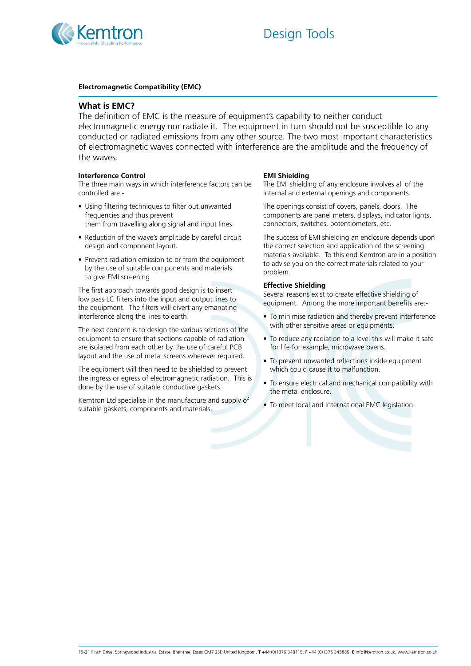



# **Electromagnetic Compatibility (EMC)**

# **What is EMC?**

The definition of EMC is the measure of equipment's capability to neither conduct electromagnetic energy nor radiate it. The equipment in turn should not be susceptible to any conducted or radiated emissions from any other source. The two most important characteristics of electromagnetic waves connected with interference are the amplitude and the frequency of the waves.

# **Interference Control**

The three main ways in which interference factors can be controlled are:-

- Using filtering techniques to filter out unwanted frequencies and thus prevent them from travelling along signal and input lines.
- Reduction of the wave's amplitude by careful circuit design and component layout.
- Prevent radiation emission to or from the equipment by the use of suitable components and materials to give EMI screening

The first approach towards good design is to insert low pass LC filters into the input and output lines to the equipment. The filters will divert any emanating interference along the lines to earth.

The next concern is to design the various sections of the equipment to ensure that sections capable of radiation are isolated from each other by the use of careful PCB layout and the use of metal screens wherever required.

The equipment will then need to be shielded to prevent the ingress or egress of electromagnetic radiation. This is done by the use of suitable conductive gaskets.

Kemtron Ltd specialise in the manufacture and supply of suitable gaskets, components and materials.

# **EMI Shielding**

The EMI shielding of any enclosure involves all of the internal and external openings and components.

The openings consist of covers, panels, doors. The components are panel meters, displays, indicator lights, connectors, switches, potentiometers, etc.

The success of EMI shielding an enclosure depends upon the correct selection and application of the screening materials available. To this end Kemtron are in a position to advise you on the correct materials related to your problem.

# **Effective Shielding**

Several reasons exist to create effective shielding of equipment. Among the more important benefits are:-

- To minimise radiation and thereby prevent interference with other sensitive areas or equipments.
- To reduce any radiation to a level this will make it safe for life for example, microwave ovens.
- To prevent unwanted reflections inside equipment which could cause it to malfunction.
- To ensure electrical and mechanical compatibility with the metal enclosure.
- To meet local and international EMC legislation.